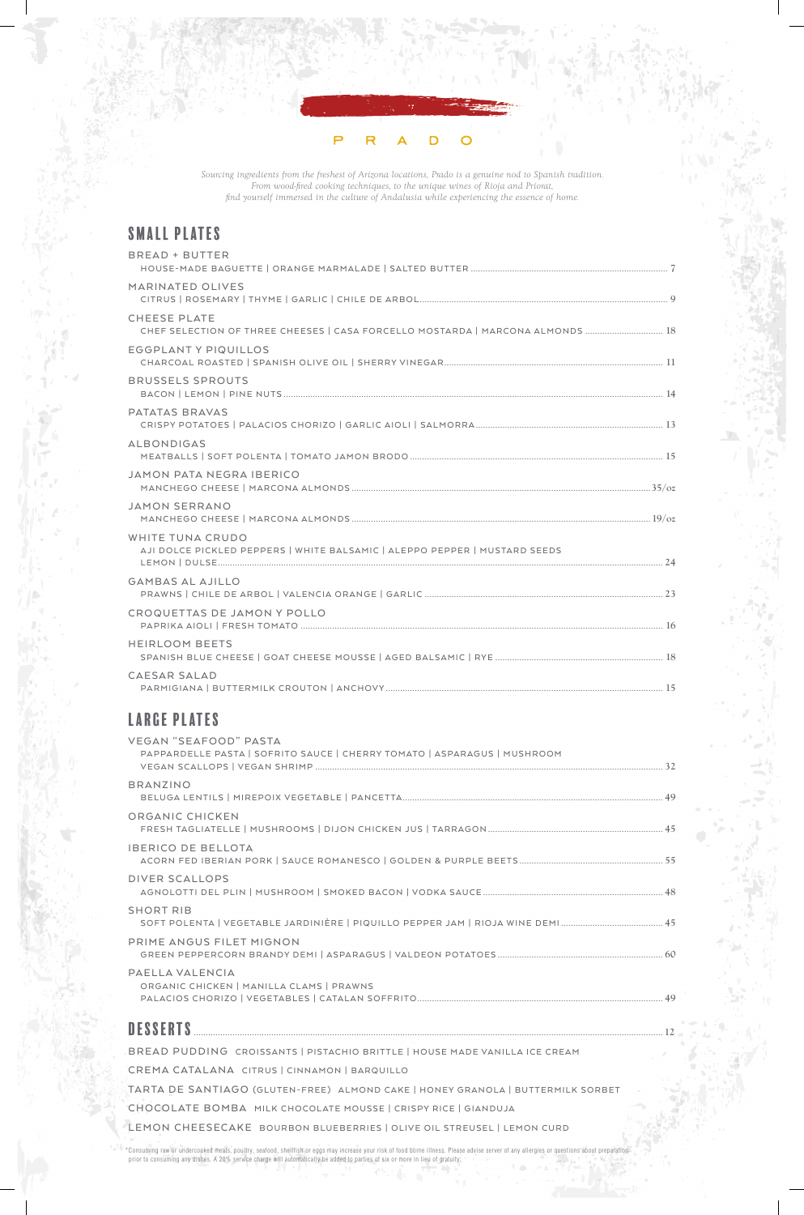#### P R D O

*Sourcing ingredients from the freshest of Arizona locations, Prado is a genuine nod to Spanish tradition. From wood-fired cooking techniques, to the unique wines of Rioja and Priorat, find yourself immersed in the culture of Andalusia while experiencing the essence of home.*

\*Consuming raw or undercooked meats, poultry, seafood, shellfish or eggs may increase your risk of food borne illness. Please advise server of any allergies or questions about preparation prior to consuming any dishes. A 20% service charge will automatically be added to parties of six or more in lieu of gratuity. 心。

# Small Plates

| <b>BREAD + BUTTER</b>                                                                                 |  |
|-------------------------------------------------------------------------------------------------------|--|
| MARINATED OLIVES                                                                                      |  |
| <b>CHEESE PLATE</b><br>CHEF SELECTION OF THREE CHEESES   CASA FORCELLO MOSTARDA   MARCONA ALMONDS  18 |  |
| <b>EGGPLANTY PIQUILLOS</b>                                                                            |  |
| <b>BRUSSELS SPROUTS</b>                                                                               |  |
| PATATAS BRAVAS                                                                                        |  |
| <b>ALBONDIGAS</b>                                                                                     |  |
| <b>JAMON PATA NEGRA IBERICO</b>                                                                       |  |
| <b>JAMON SERRANO</b>                                                                                  |  |
| WHITE TUNA CRUDO<br>AJI DOLCE PICKLED PEPPERS   WHITE BALSAMIC   ALEPPO PEPPER   MUSTARD SEEDS        |  |
| <b>GAMBAS AL AJILLO</b>                                                                               |  |
| CROQUETTAS DE JAMON Y POLLO                                                                           |  |
| HEIRLOOM BEETS                                                                                        |  |
| CAESAR SALAD                                                                                          |  |

# Large Plates

| <b>VEGAN "SEAFOOD" PASTA</b><br>PAPPARDELLE PASTA   SOFRITO SAUCE   CHERRY TOMATO   ASPARAGUS   MUSHROOM |  |
|----------------------------------------------------------------------------------------------------------|--|
| <b>BRANZINO</b>                                                                                          |  |
| ORGANIC CHICKEN                                                                                          |  |
| <b>IBERICO DE BELLOTA</b>                                                                                |  |
| <b>DIVER SCALLOPS</b>                                                                                    |  |
| <b>SHORT RIB</b>                                                                                         |  |
| PRIME ANGUS FILET MIGNON                                                                                 |  |
| PAELLA VALENCIA<br>ORGANIC CHICKEN   MANILLA CLAMS   PRAWNS                                              |  |
| <b>DESSERTS</b>                                                                                          |  |
| BREAD PUDDING CROISSANTS   PISTACHIO BRITTLE   HOUSE MADE VANILLA ICE CREAM                              |  |
| CREMA CATALANA CITRUS   CINNAMON   BARQUILLO                                                             |  |
| TARTA DE SANTIAGO (GLUTEN-FREE) ALMOND CAKE   HONEY GRANOLA   BUTTERMILK SORBET                          |  |
| CHOCOLATE BOMBA MILK CHOCOLATE MOUSSE   CRISPY RICE   GIANDUJA                                           |  |
| LEMON CHEESECAKE BOURBON BLUEBERRIES   OLIVE OIL STREUSEL   LEMON CURD                                   |  |
|                                                                                                          |  |